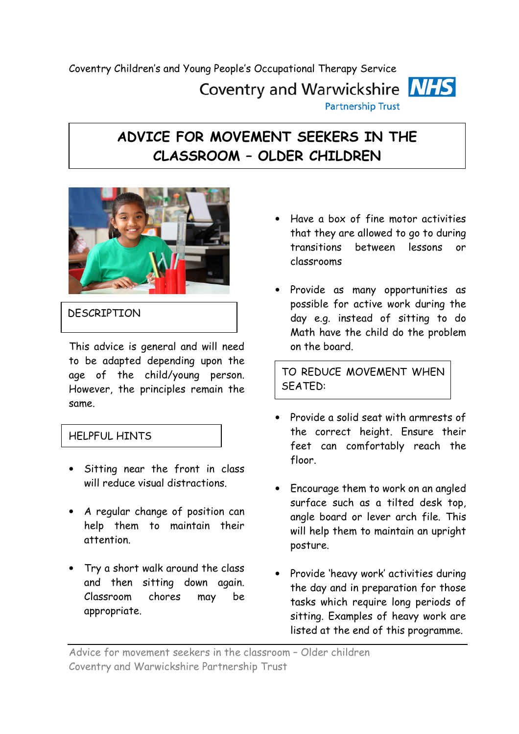Coventry Children's and Young People's Occupational Therapy Service Coventry and Warwickshire **NHS Partnership Trust** 

## ADVICE FOR MOVEMENT SEEKERS IN THE CLASSROOM – OLDER CHILDREN



## **DESCRIPTION**

This advice is general and will need to be adapted depending upon the age of the child/young person. However, the principles remain the same.

## HELPFUL HINTS

- Sitting near the front in class will reduce visual distractions.
- A regular change of position can help them to maintain their attention.
- Try a short walk around the class and then sitting down again. Classroom chores may be appropriate.
- Have a box of fine motor activities that they are allowed to go to during transitions between lessons or classrooms
- Provide as many opportunities as possible for active work during the day e.g. instead of sitting to do Math have the child do the problem on the board.

TO REDUCE MOVEMENT WHEN SEATED:

- Provide a solid seat with armrests of the correct height. Ensure their feet can comfortably reach the floor.
- Encourage them to work on an angled surface such as a tilted desk top, angle board or lever arch file. This will help them to maintain an upright posture.
- Provide 'heavy work' activities during the day and in preparation for those tasks which require long periods of sitting. Examples of heavy work are listed at the end of this programme.

Advice for movement seekers in the classroom – Older children Coventry and Warwickshire Partnership Trust